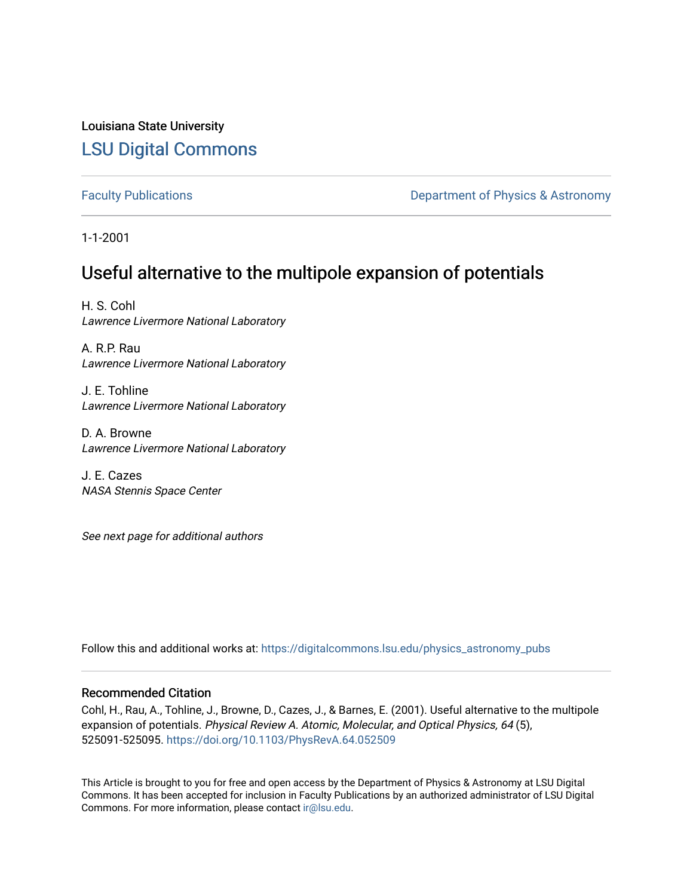## Louisiana State University [LSU Digital Commons](https://digitalcommons.lsu.edu/)

[Faculty Publications](https://digitalcommons.lsu.edu/physics_astronomy_pubs) **Exercise 2 and Table 2 and Table 2 and Table 2 and Table 2 and Table 2 and Table 2 and Table 2 and Table 2 and Table 2 and Table 2 and Table 2 and Table 2 and Table 2 and Table 2 and Table 2 and Table** 

1-1-2001

# Useful alternative to the multipole expansion of potentials

H. S. Cohl Lawrence Livermore National Laboratory

A. R.P. Rau Lawrence Livermore National Laboratory

J. E. Tohline Lawrence Livermore National Laboratory

D. A. Browne Lawrence Livermore National Laboratory

J. E. Cazes NASA Stennis Space Center

See next page for additional authors

Follow this and additional works at: [https://digitalcommons.lsu.edu/physics\\_astronomy\\_pubs](https://digitalcommons.lsu.edu/physics_astronomy_pubs?utm_source=digitalcommons.lsu.edu%2Fphysics_astronomy_pubs%2F514&utm_medium=PDF&utm_campaign=PDFCoverPages) 

### Recommended Citation

Cohl, H., Rau, A., Tohline, J., Browne, D., Cazes, J., & Barnes, E. (2001). Useful alternative to the multipole expansion of potentials. Physical Review A. Atomic, Molecular, and Optical Physics, 64 (5), 525091-525095.<https://doi.org/10.1103/PhysRevA.64.052509>

This Article is brought to you for free and open access by the Department of Physics & Astronomy at LSU Digital Commons. It has been accepted for inclusion in Faculty Publications by an authorized administrator of LSU Digital Commons. For more information, please contact [ir@lsu.edu](mailto:ir@lsu.edu).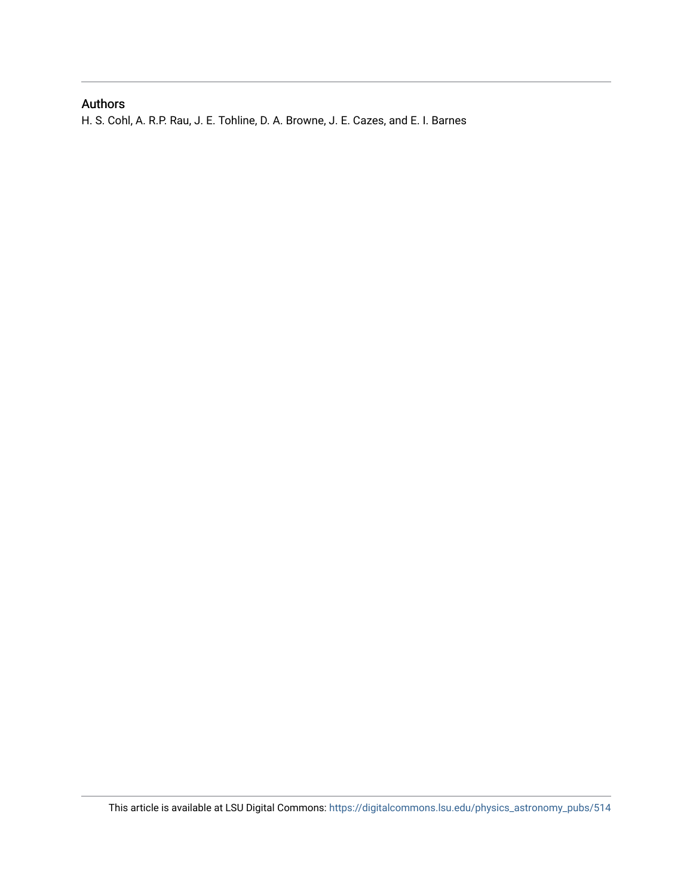## Authors

H. S. Cohl, A. R.P. Rau, J. E. Tohline, D. A. Browne, J. E. Cazes, and E. I. Barnes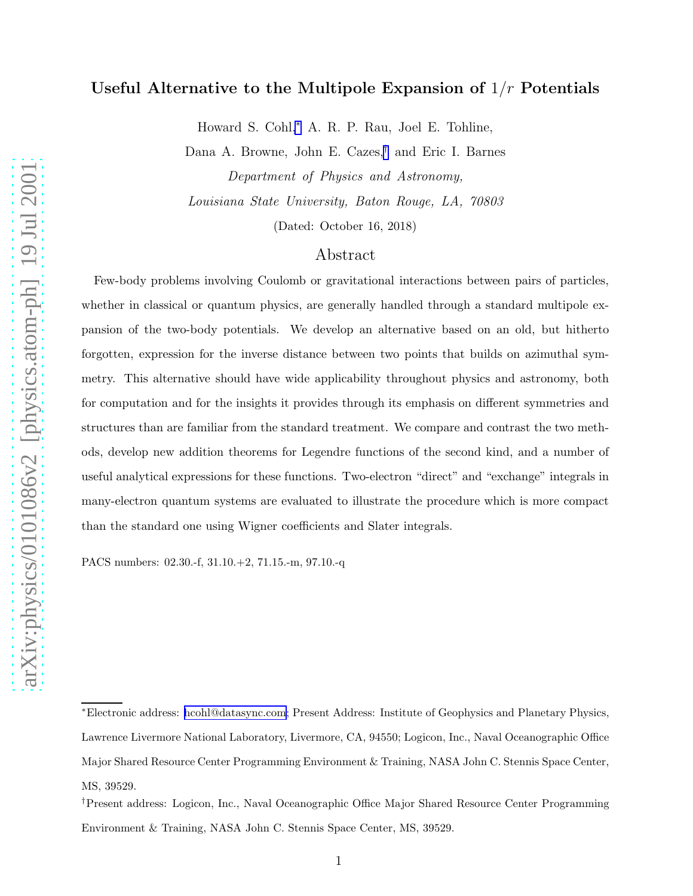## Useful Alternative to the Multipole Expansion of  $1/r$  Potentials

Howard S. Cohl,<sup>∗</sup> A. R. P. Rau, Joel E. Tohline,

Dana A. Browne, John E. Cazes,† and Eric I. Barnes Department of Physics and Astronomy,

Louisiana State University, Baton Rouge, LA, 70803

(Dated: October 16, 2018)

### Abstract

Few-body problems involving Coulomb or gravitational interactions between pairs of particles, whether in classical or quantum physics, are generally handled through a standard multipole expansion of the two-body potentials. We develop an alternative based on an old, but hitherto forgotten, expression for the inverse distance between two points that builds on azimuthal symmetry. This alternative should have wide applicability throughout physics and astronomy, both for computation and for the insights it provides through its emphasis on different symmetries and structures than are familiar from the standard treatment. We compare and contrast the two methods, develop new addition theorems for Legendre functions of the second kind, and a number of useful analytical expressions for these functions. Two-electron "direct" and "exchange" integrals in many-electron quantum systems are evaluated to illustrate the procedure which is more compact than the standard one using Wigner coefficients and Slater integrals.

PACS numbers: 02.30.-f, 31.10.+2, 71.15.-m, 97.10.-q

<sup>∗</sup>Electronic address: [hcohl@datasync.com;](mailto:hcohl@datasync.com) Present Address: Institute of Geophysics and Planetary Physics, Lawrence Livermore National Laboratory, Livermore, CA, 94550; Logicon, Inc., Naval Oceanographic Office Major Shared Resource Center Programming Environment & Training, NASA John C. Stennis Space Center, MS, 39529.

<sup>†</sup>Present address: Logicon, Inc., Naval Oceanographic Office Major Shared Resource Center Programming Environment & Training, NASA John C. Stennis Space Center, MS, 39529.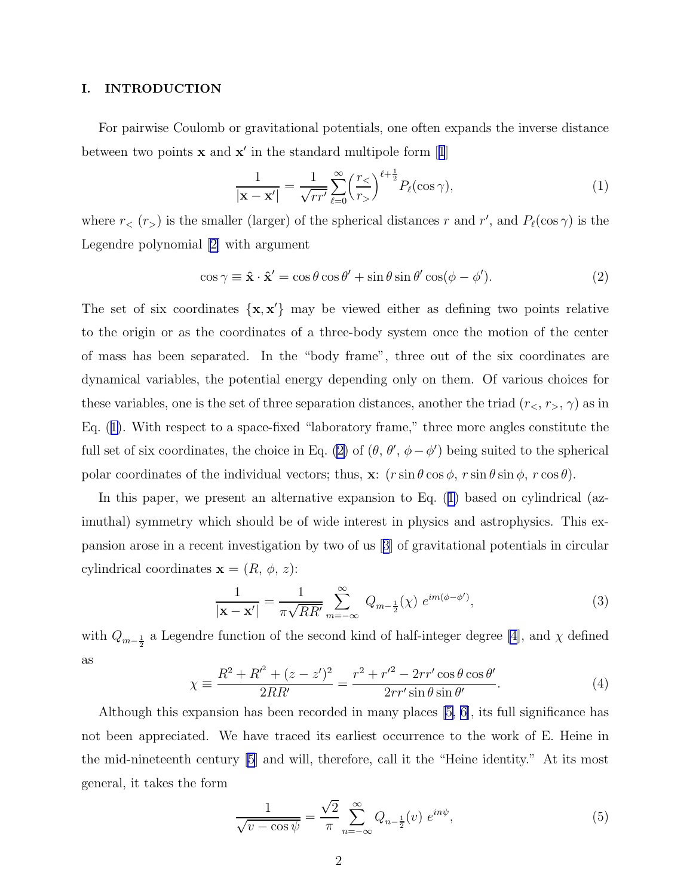#### <span id="page-3-0"></span>I. INTRODUCTION

For pairwise Coulomb or gravitational potentials, one often expands the inverse distance betweentwo points  $x$  and  $x'$  in the standard multipole form [[1](#page-11-0)]

$$
\frac{1}{|\mathbf{x} - \mathbf{x}'|} = \frac{1}{\sqrt{rr'}} \sum_{\ell=0}^{\infty} \left(\frac{r_{\le}}{r_{>}}\right)^{\ell + \frac{1}{2}} P_{\ell}(\cos \gamma),\tag{1}
$$

where  $r<sub>lt</sub>(r<sub>gt</sub>)$  is the smaller (larger) of the spherical distances r and r', and  $P_{\ell}(\cos \gamma)$  is the Legendre polynomial[[2\]](#page-11-0) with argument

$$
\cos \gamma \equiv \hat{\mathbf{x}} \cdot \hat{\mathbf{x}}' = \cos \theta \cos \theta' + \sin \theta \sin \theta' \cos(\phi - \phi'). \tag{2}
$$

The set of six coordinates  $\{x, x'\}$  may be viewed either as defining two points relative to the origin or as the coordinates of a three-body system once the motion of the center of mass has been separated. In the "body frame", three out of the six coordinates are dynamical variables, the potential energy depending only on them. Of various choices for these variables, one is the set of three separation distances, another the triad  $(r<, r_>, \gamma)$  as in Eq. (1). With respect to a space-fixed "laboratory frame," three more angles constitute the full set of six coordinates, the choice in Eq. (2) of  $(\theta, \theta', \phi - \phi')$  being suited to the spherical polar coordinates of the individual vectors; thus,  $\mathbf{x}: (r \sin \theta \cos \phi, r \sin \theta \sin \phi, r \cos \theta)$ .

In this paper, we present an alternative expansion to Eq. (1) based on cylindrical (azimuthal) symmetry which should be of wide interest in physics and astrophysics. This expansion arose in a recent investigation by two of us[[3](#page-11-0)] of gravitational potentials in circular cylindrical coordinates  $\mathbf{x} = (R, \phi, z)$ :

$$
\frac{1}{|\mathbf{x} - \mathbf{x}'|} = \frac{1}{\pi \sqrt{RR'}} \sum_{m = -\infty}^{\infty} Q_{m - \frac{1}{2}}(\chi) e^{im(\phi - \phi')},
$$
(3)

with  $Q_{m-\frac{1}{2}}$  a Legendre function of the second kind of half-integer degree [\[4](#page-11-0)], and  $\chi$  defined as

$$
\chi = \frac{R^2 + R'^2 + (z - z')^2}{2RR'} = \frac{r^2 + r'^2 - 2rr'\cos\theta\cos\theta'}{2rr'\sin\theta\sin\theta'}.
$$
(4)

Although this expansion has been recorded in many places[[5, 6\]](#page-11-0), its full significance has not been appreciated. We have traced its earliest occurrence to the work of E. Heine in the mid-nineteenth century [\[5](#page-11-0)] and will, therefore, call it the "Heine identity." At its most general, it takes the form

$$
\frac{1}{\sqrt{v - \cos \psi}} = \frac{\sqrt{2}}{\pi} \sum_{n = -\infty}^{\infty} Q_{n - \frac{1}{2}}(v) e^{in\psi}, \tag{5}
$$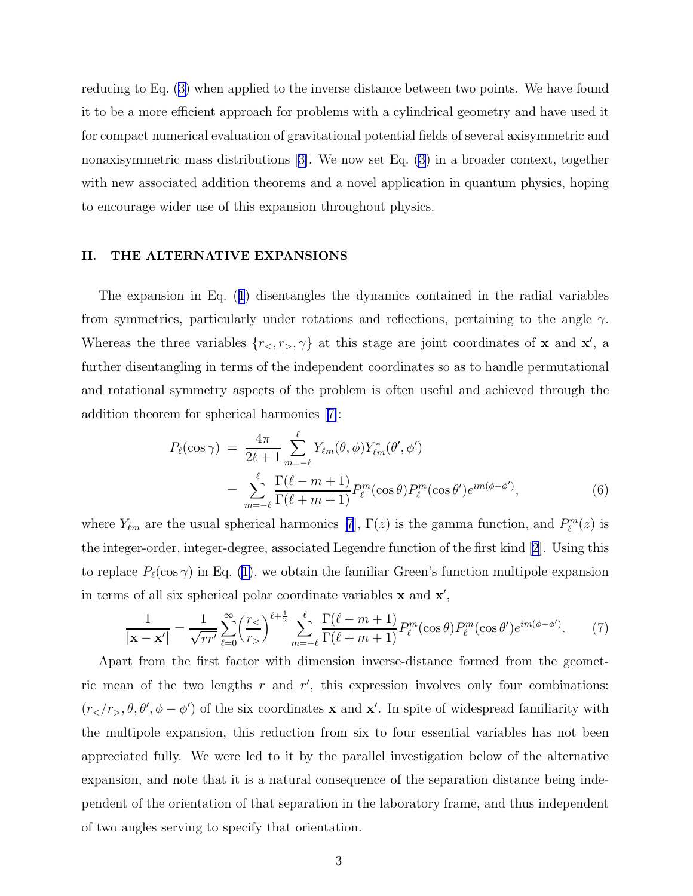<span id="page-4-0"></span>reducing to Eq.([3\)](#page-3-0) when applied to the inverse distance between two points. We have found it to be a more efficient approach for problems with a cylindrical geometry and have used it for compact numerical evaluation of gravitational potential fields of several axisymmetric and nonaxisymmetric mass distributions[[3\]](#page-11-0). We now set Eq. [\(3](#page-3-0)) in a broader context, together with new associated addition theorems and a novel application in quantum physics, hoping to encourage wider use of this expansion throughout physics.

#### II. THE ALTERNATIVE EXPANSIONS

The expansion in Eq.([1](#page-3-0)) disentangles the dynamics contained in the radial variables from symmetries, particularly under rotations and reflections, pertaining to the angle  $\gamma$ . Whereas the three variables  $\{r_0, r_0, \gamma\}$  at this stage are joint coordinates of **x** and **x'**, a further disentangling in terms of the independent coordinates so as to handle permutational and rotational symmetry aspects of the problem is often useful and achieved through the addition theorem for spherical harmonics[[7\]](#page-11-0):

$$
P_{\ell}(\cos \gamma) = \frac{4\pi}{2\ell+1} \sum_{m=-\ell}^{\ell} Y_{\ell m}(\theta, \phi) Y_{\ell m}^{*}(\theta', \phi')
$$
  
= 
$$
\sum_{m=-\ell}^{\ell} \frac{\Gamma(\ell-m+1)}{\Gamma(\ell+m+1)} P_{\ell}^{m}(\cos \theta) P_{\ell}^{m}(\cos \theta') e^{im(\phi-\phi')},
$$
 (6)

where $Y_{\ell m}$  are the usual spherical harmonics [[7](#page-11-0)],  $\Gamma(z)$  is the gamma function, and  $P_{\ell}^{m}(z)$  is the integer-order, integer-degree, associated Legendre function of the first kind[[2](#page-11-0)]. Using this toreplace  $P_{\ell}(\cos \gamma)$  in Eq. ([1\)](#page-3-0), we obtain the familiar Green's function multipole expansion in terms of all six spherical polar coordinate variables  $x$  and  $x'$ ,

$$
\frac{1}{|\mathbf{x} - \mathbf{x}'|} = \frac{1}{\sqrt{rr'}} \sum_{\ell=0}^{\infty} \left(\frac{r_<}{r_>}\right)^{\ell+\frac{1}{2}} \sum_{m=-\ell}^{\ell} \frac{\Gamma(\ell-m+1)}{\Gamma(\ell+m+1)} P_{\ell}^m(\cos\theta) P_{\ell}^m(\cos\theta') e^{im(\phi-\phi')}.\tag{7}
$$

Apart from the first factor with dimension inverse-distance formed from the geometric mean of the two lengths  $r$  and  $r'$ , this expression involves only four combinations:  $(r<sub>></sub>/r<sub>></sub>, \theta, \theta', \phi - \phi')$  of the six coordinates **x** and **x'**. In spite of widespread familiarity with the multipole expansion, this reduction from six to four essential variables has not been appreciated fully. We were led to it by the parallel investigation below of the alternative expansion, and note that it is a natural consequence of the separation distance being independent of the orientation of that separation in the laboratory frame, and thus independent of two angles serving to specify that orientation.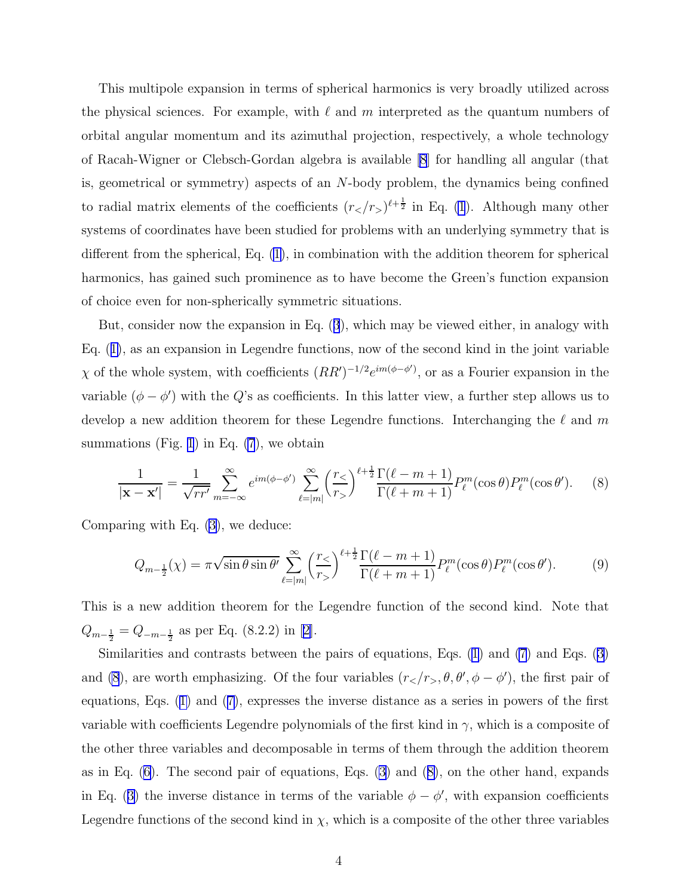<span id="page-5-0"></span>This multipole expansion in terms of spherical harmonics is very broadly utilized across the physical sciences. For example, with  $\ell$  and  $m$  interpreted as the quantum numbers of orbital angular momentum and its azimuthal projection, respectively, a whole technology of Racah-Wigner or Clebsch-Gordan algebra is available [\[8](#page-11-0)] for handling all angular (that is, geometrical or symmetry) aspects of an N-body problem, the dynamics being confined to radial matrix elements of the coefficients  $(r<sub>z</sub>/r<sub>></sub>)<sup>l+\frac{1}{2}</sup>$  in Eq. [\(1](#page-3-0)). Although many other systems of coordinates have been studied for problems with an underlying symmetry that is different from the spherical, Eq. [\(1\)](#page-3-0), in combination with the addition theorem for spherical harmonics, has gained such prominence as to have become the Green's function expansion of choice even for non-spherically symmetric situations.

But, consider now the expansion in Eq.([3](#page-3-0)), which may be viewed either, in analogy with Eq.([1\)](#page-3-0), as an expansion in Legendre functions, now of the second kind in the joint variable  $\chi$  of the whole system, with coefficients  $(RR')^{-1/2}e^{im(\phi-\phi')}$ , or as a Fourier expansion in the variable  $(\phi - \phi')$  with the Q's as coefficients. In this latter view, a further step allows us to develop a new addition theorem for these Legendre functions. Interchanging the  $\ell$  and m summations (Fig. [1](#page-6-0)) in Eq.  $(7)$ , we obtain

$$
\frac{1}{|\mathbf{x} - \mathbf{x}'|} = \frac{1}{\sqrt{rr'}} \sum_{m = -\infty}^{\infty} e^{im(\phi - \phi')} \sum_{\ell = |m|}^{\infty} \left(\frac{r_{\leq}}{r_{>}}\right)^{\ell + \frac{1}{2}} \frac{\Gamma(\ell - m + 1)}{\Gamma(\ell + m + 1)} P_{\ell}^{m}(\cos \theta) P_{\ell}^{m}(\cos \theta'). \tag{8}
$$

Comparing with Eq. [\(3\)](#page-3-0), we deduce:

$$
Q_{m-\frac{1}{2}}(\chi) = \pi \sqrt{\sin \theta \sin \theta'} \sum_{\ell=|m|}^{\infty} \left(\frac{r_{\le}}{r_{>}}\right)^{\ell+\frac{1}{2}} \frac{\Gamma(\ell-m+1)}{\Gamma(\ell+m+1)} P_{\ell}^{m}(\cos \theta) P_{\ell}^{m}(\cos \theta'). \tag{9}
$$

This is a new addition theorem for the Legendre function of the second kind. Note that  $Q_{m-\frac{1}{2}} = Q_{-m-\frac{1}{2}}$  as per Eq. (8.2.2) in [\[2\]](#page-11-0).

Similarities and contrasts between the pairs of equations, Eqs. [\(1\)](#page-3-0) and [\(7](#page-4-0)) and Eqs.([3\)](#page-3-0) and (8), are worth emphasizing. Of the four variables  $(r_2/r_>, \theta, \theta', \phi - \phi')$ , the first pair of equations, Eqs.([1\)](#page-3-0) and([7\)](#page-4-0), expresses the inverse distance as a series in powers of the first variable with coefficients Legendre polynomials of the first kind in  $\gamma$ , which is a composite of the other three variables and decomposable in terms of them through the addition theorem as in Eq.  $(6)$ . The second pair of equations, Eqs.  $(3)$  and  $(8)$ , on the other hand, expands inEq. ([3\)](#page-3-0) the inverse distance in terms of the variable  $\phi - \phi'$ , with expansion coefficients Legendre functions of the second kind in  $\chi$ , which is a composite of the other three variables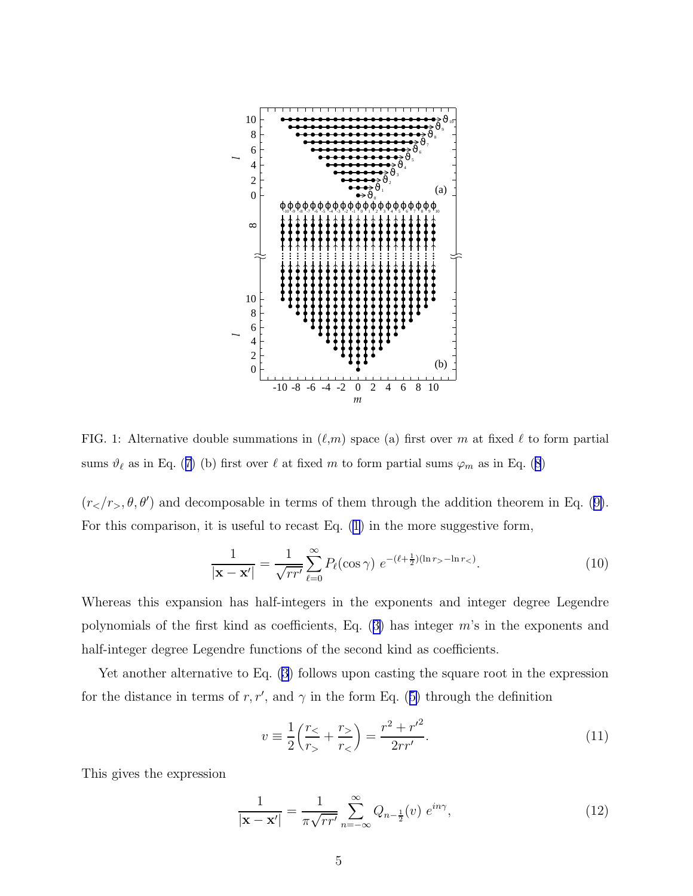<span id="page-6-0"></span>

FIG. 1: Alternative double summations in  $(\ell,m)$  space (a) first over m at fixed  $\ell$  to form partial sums $\vartheta_\ell$  as in Eq. ([7\)](#page-4-0) (b) first over  $\ell$  at fixed m to form partial sums  $\varphi_m$  as in Eq. ([8](#page-5-0))

 $(r<sub>z</sub>, \theta, \theta')$  $(r<sub>z</sub>, \theta, \theta')$  $(r<sub>z</sub>, \theta, \theta')$  and decomposable in terms of them through the addition theorem in Eq. ([9\)](#page-5-0). For this comparison, it is useful to recast Eq.([1\)](#page-3-0) in the more suggestive form,

$$
\frac{1}{|\mathbf{x} - \mathbf{x}'|} = \frac{1}{\sqrt{rr'}} \sum_{\ell=0}^{\infty} P_{\ell}(\cos \gamma) e^{-(\ell + \frac{1}{2})(\ln r_{>} - \ln r_{<})}.
$$
(10)

Whereas this expansion has half-integers in the exponents and integer degree Legendre polynomialsof the first kind as coefficients, Eq.  $(3)$  $(3)$  has integer m's in the exponents and half-integer degree Legendre functions of the second kind as coefficients.

Yet another alternative to Eq. [\(3](#page-3-0)) follows upon casting the square root in the expression forthe distance in terms of r, r', and  $\gamma$  in the form Eq. ([5\)](#page-3-0) through the definition

$$
v \equiv \frac{1}{2} \left( \frac{r_{\le}}{r_{>}} + \frac{r_{>}}{r_{<}} \right) = \frac{r^2 + r'^2}{2rr'}.
$$
 (11)

This gives the expression

$$
\frac{1}{|\mathbf{x} - \mathbf{x}'|} = \frac{1}{\pi \sqrt{rr'}} \sum_{n = -\infty}^{\infty} Q_{n - \frac{1}{2}}(v) e^{in\gamma}, \tag{12}
$$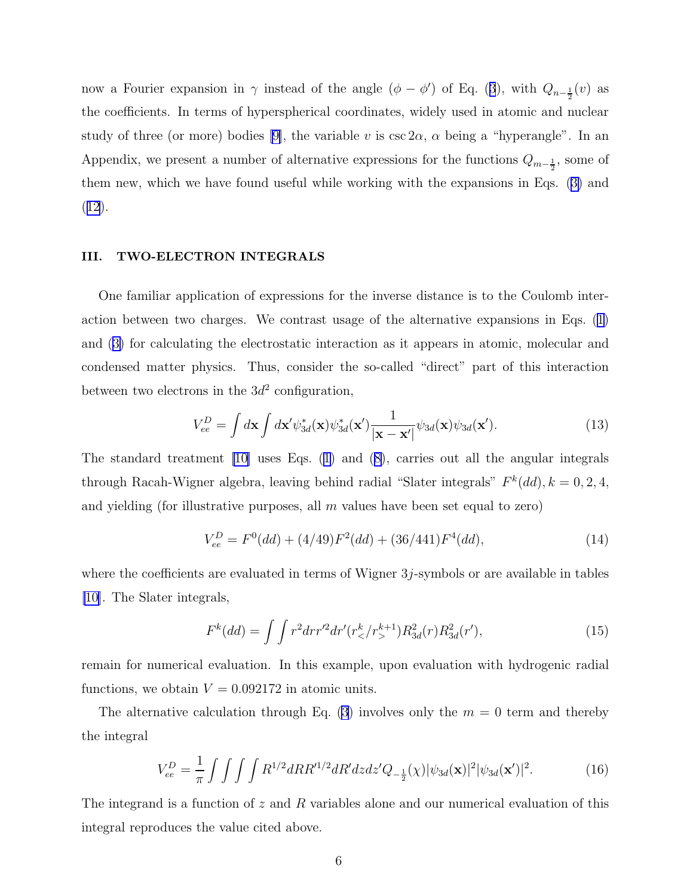<span id="page-7-0"></span>nowa Fourier expansion in  $\gamma$  instead of the angle  $(\phi - \phi')$  of Eq. ([3](#page-3-0)), with  $Q_{n-\frac{1}{2}}(v)$  as the coefficients. In terms of hyperspherical coordinates, widely used in atomic and nuclear studyof three (or more) bodies [[9\]](#page-11-0), the variable v is  $\csc 2\alpha$ ,  $\alpha$  being a "hyperangle". In an Appendix, we present a number of alternative expressions for the functions  $Q_{m-\frac{1}{2}}$ , some of them new, which we have found useful while working with the expansions in Eqs.([3\)](#page-3-0) and ([12](#page-6-0)).

#### III. TWO-ELECTRON INTEGRALS

One familiar application of expressions for the inverse distance is to the Coulomb interaction between two charges. We contrast usage of the alternative expansions in Eqs.([1\)](#page-3-0) and([3\)](#page-3-0) for calculating the electrostatic interaction as it appears in atomic, molecular and condensed matter physics. Thus, consider the so-called "direct" part of this interaction between two electrons in the  $3d^2$  configuration,

$$
V_{ee}^D = \int d\mathbf{x} \int d\mathbf{x}' \psi_{3d}^*(\mathbf{x}) \psi_{3d}^*(\mathbf{x}') \frac{1}{|\mathbf{x} - \mathbf{x}'|} \psi_{3d}(\mathbf{x}) \psi_{3d}(\mathbf{x}'). \tag{13}
$$

The standard treatment [\[10\]](#page-12-0) uses Eqs. [\(1\)](#page-3-0) and([8\)](#page-5-0), carries out all the angular integrals through Racah-Wigner algebra, leaving behind radial "Slater integrals"  $F^k(dd)$ ,  $k = 0, 2, 4$ , and yielding (for illustrative purposes, all  $m$  values have been set equal to zero)

$$
V_{ee}^D = F^0(dd) + (4/49)F^2(dd) + (36/441)F^4(dd),\tag{14}
$$

where the coefficients are evaluated in terms of Wigner 3j-symbols or are available in tables [\[10](#page-12-0)]. The Slater integrals,

$$
F^{k}(dd) = \int \int r^{2} dr r'^{2} dr' (r_{\leq}^{k}/r_{>}^{k+1}) R_{3d}^{2}(r) R_{3d}^{2}(r'), \qquad (15)
$$

remain for numerical evaluation. In this example, upon evaluation with hydrogenic radial functions, we obtain  $V = 0.092172$  in atomic units.

The alternative calculation through Eq. [\(3](#page-3-0)) involves only the  $m = 0$  term and thereby the integral

$$
V_{ee}^D = \frac{1}{\pi} \int \int \int \int R^{1/2} dR R'^{1/2} dR' dz dz' Q_{-\frac{1}{2}}(\chi) |\psi_{3d}(\mathbf{x})|^2 |\psi_{3d}(\mathbf{x}')|^2.
$$
 (16)

The integrand is a function of  $z$  and  $R$  variables alone and our numerical evaluation of this integral reproduces the value cited above.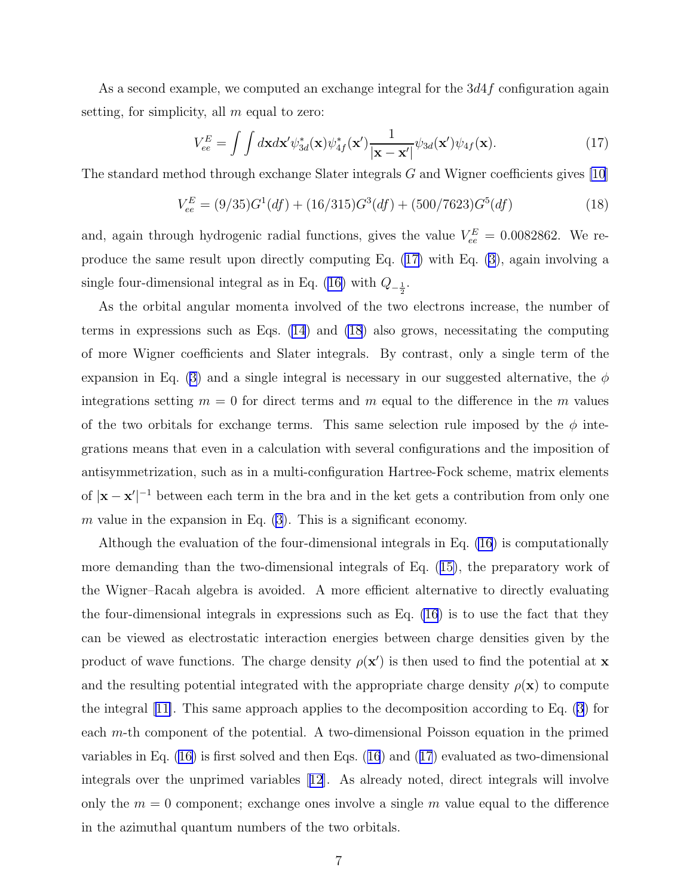<span id="page-8-0"></span>As a second example, we computed an exchange integral for the  $3d4f$  configuration again setting, for simplicity, all  $m$  equal to zero:

$$
V_{ee}^{E} = \int \int d\mathbf{x} d\mathbf{x}' \psi_{3d}^{*}(\mathbf{x}) \psi_{4f}^{*}(\mathbf{x}') \frac{1}{|\mathbf{x} - \mathbf{x}'|} \psi_{3d}(\mathbf{x}') \psi_{4f}(\mathbf{x}). \tag{17}
$$

The standard method through exchange Slater integrals G and Wigner coefficients gives [\[10\]](#page-12-0)

$$
V_{ee}^{E} = (9/35)G^{1}(df) + (16/315)G^{3}(df) + (500/7623)G^{5}(df)
$$
\n(18)

and, again through hydrogenic radial functions, gives the value  $V_{ee}^E = 0.0082862$ . We reproduce the same result upon directly computing Eq. (17) with Eq. [\(3\)](#page-3-0), again involving a singlefour-dimensional integral as in Eq. ([16\)](#page-7-0) with  $Q_{-\frac{1}{2}}$ .

As the orbital angular momenta involved of the two electrons increase, the number of terms in expressions such as Eqs. [\(14](#page-7-0)) and (18) also grows, necessitating the computing of more Wigner coefficients and Slater integrals. By contrast, only a single term of the expansionin Eq. ([3\)](#page-3-0) and a single integral is necessary in our suggested alternative, the  $\phi$ integrations setting  $m = 0$  for direct terms and m equal to the difference in the m values of the two orbitals for exchange terms. This same selection rule imposed by the  $\phi$  integrations means that even in a calculation with several configurations and the imposition of antisymmetrization, such as in a multi-configuration Hartree-Fock scheme, matrix elements of  $|\mathbf{x} - \mathbf{x}'|^{-1}$  between each term in the bra and in the ket gets a contribution from only one m value in the expansion in Eq.  $(3)$ . This is a significant economy.

Although the evaluation of the four-dimensional integrals in Eq. [\(16](#page-7-0)) is computationally more demanding than the two-dimensional integrals of Eq.([15\)](#page-7-0), the preparatory work of the Wigner–Racah algebra is avoided. A more efficient alternative to directly evaluating the four-dimensional integrals in expressions such as Eq. [\(16](#page-7-0)) is to use the fact that they can be viewed as electrostatic interaction energies between charge densities given by the product of wave functions. The charge density  $\rho(\mathbf{x}')$  is then used to find the potential at **x** and the resulting potential integrated with the appropriate charge density  $\rho(\mathbf{x})$  to compute the integral[[11\]](#page-12-0). This same approach applies to the decomposition according to Eq. [\(3\)](#page-3-0) for each m-th component of the potential. A two-dimensional Poisson equation in the primed variables in Eq. [\(16\)](#page-7-0) is first solved and then Eqs.([16](#page-7-0)) and (17) evaluated as two-dimensional integrals over the unprimed variables[[12](#page-12-0)]. As already noted, direct integrals will involve only the  $m = 0$  component; exchange ones involve a single m value equal to the difference in the azimuthal quantum numbers of the two orbitals.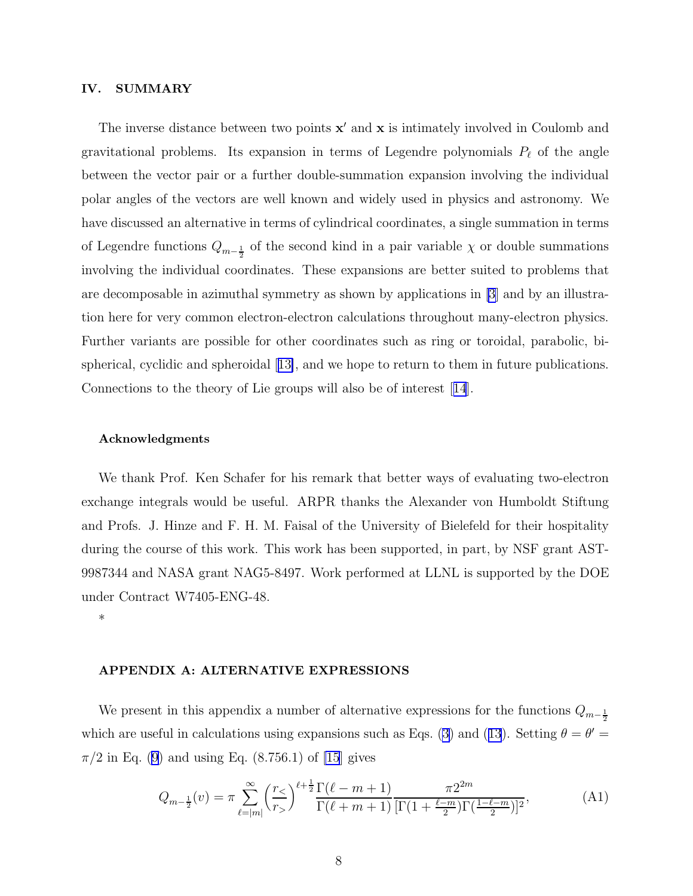#### <span id="page-9-0"></span>IV. SUMMARY

The inverse distance between two points  $x'$  and  $x$  is intimately involved in Coulomb and gravitational problems. Its expansion in terms of Legendre polynomials  $P_{\ell}$  of the angle between the vector pair or a further double-summation expansion involving the individual polar angles of the vectors are well known and widely used in physics and astronomy. We have discussed an alternative in terms of cylindrical coordinates, a single summation in terms of Legendre functions  $Q_{m-\frac{1}{2}}$  of the second kind in a pair variable  $\chi$  or double summations involving the individual coordinates. These expansions are better suited to problems that are decomposable in azimuthal symmetry as shown by applications in [\[3\]](#page-11-0) and by an illustration here for very common electron-electron calculations throughout many-electron physics. Further variants are possible for other coordinates such as ring or toroidal, parabolic, bispherical, cyclidic and spheroidal[[13\]](#page-12-0), and we hope to return to them in future publications. Connections to the theory of Lie groups will also be of interest[[14](#page-12-0)].

#### Acknowledgments

We thank Prof. Ken Schafer for his remark that better ways of evaluating two-electron exchange integrals would be useful. ARPR thanks the Alexander von Humboldt Stiftung and Profs. J. Hinze and F. H. M. Faisal of the University of Bielefeld for their hospitality during the course of this work. This work has been supported, in part, by NSF grant AST-9987344 and NASA grant NAG5-8497. Work performed at LLNL is supported by the DOE under Contract W7405-ENG-48.

\*

#### APPENDIX A: ALTERNATIVE EXPRESSIONS

We present in this appendix a number of alternative expressions for the functions  $Q_{m-\frac{1}{2}}$ which are useful in calculations using expansions such as Eqs. [\(3\)](#page-3-0)and ([13](#page-7-0)). Setting  $\theta = \theta' =$  $\pi/2$  in Eq. [\(9](#page-5-0)) and using Eq. (8.756.1) of [\[15](#page-12-0)] gives

$$
Q_{m-\frac{1}{2}}(v) = \pi \sum_{\ell=|m|}^{\infty} \left(\frac{r_{\le}}{r_{>}}\right)^{\ell+\frac{1}{2}} \frac{\Gamma(\ell-m+1)}{\Gamma(\ell+m+1)} \frac{\pi 2^{2m}}{[\Gamma(1+\frac{\ell-m}{2})\Gamma(\frac{1-\ell-m}{2})]^2},\tag{A1}
$$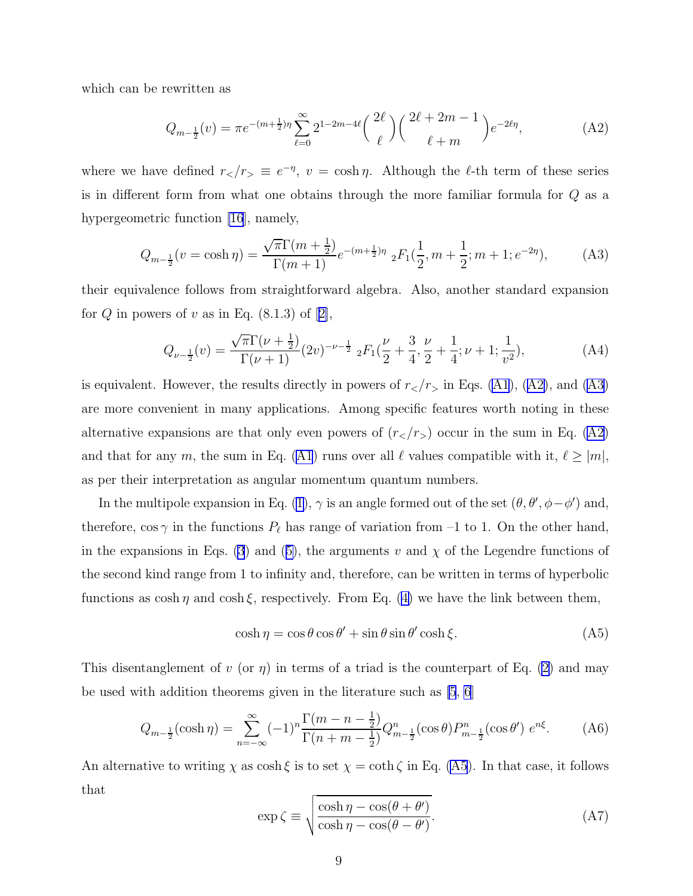<span id="page-10-0"></span>which can be rewritten as

$$
Q_{m-\frac{1}{2}}(v) = \pi e^{-(m+\frac{1}{2})\eta} \sum_{\ell=0}^{\infty} 2^{1-2m-4\ell} \binom{2\ell}{\ell} \binom{2\ell+2m-1}{\ell+m} e^{-2\ell\eta},\tag{A2}
$$

where we have defined  $r_$  <sub>$\ell$</sub>  =  $e^{-\eta}$ ,  $v = \cosh \eta$ . Although the  $\ell$ -th term of these seriesis in different form from what one obtains through the more familiar formula for Q as a hypergeometric function [\[16](#page-12-0)], namely,

$$
Q_{m-\frac{1}{2}}(v = \cosh \eta) = \frac{\sqrt{\pi} \Gamma(m+\frac{1}{2})}{\Gamma(m+1)} e^{-(m+\frac{1}{2})\eta} {}_2F_1(\frac{1}{2}, m+\frac{1}{2}; m+1; e^{-2\eta}), \tag{A3}
$$

their equivalence follows from straightforward algebra. Also, another standard expansion for $Q$  in powers of  $v$  as in Eq. (8.1.3) of [[2\]](#page-11-0),

$$
Q_{\nu - \frac{1}{2}}(v) = \frac{\sqrt{\pi} \Gamma(\nu + \frac{1}{2})}{\Gamma(\nu + 1)} (2v)^{-\nu - \frac{1}{2}} {}_{2}F_{1}(\frac{\nu}{2} + \frac{3}{4}, \frac{\nu}{2} + \frac{1}{4}; \nu + 1; \frac{1}{v^{2}}), \tag{A4}
$$

is equivalent. However, the results directly in powers of  $r<sub>z</sub>/r<sub>z</sub>$  in Eqs. [\(A1\)](#page-9-0), (A2), and (A3) are more convenient in many applications. Among specific features worth noting in these alternative expansions are that only even powers of  $(r<sub>z</sub>/r<sub>></sub>)$  occur in the sum in Eq. (A2) andthat for any m, the sum in Eq. ([A1](#page-9-0)) runs over all  $\ell$  values compatible with it,  $\ell \geq |m|$ , as per their interpretation as angular momentum quantum numbers.

In the multipole expansion in Eq. [\(1\)](#page-3-0),  $\gamma$  is an angle formed out of the set  $(\theta, \theta', \phi - \phi')$  and, therefore,  $\cos \gamma$  in the functions  $P_{\ell}$  has range of variation from -1 to 1. On the other hand, in the expansions in Eqs. [\(3](#page-3-0))and ([5\)](#page-3-0), the arguments v and  $\chi$  of the Legendre functions of the second kind range from 1 to infinity and, therefore, can be written in terms of hyperbolic functionsas  $\cosh \eta$  and  $\cosh \xi$ , respectively. From Eq. ([4\)](#page-3-0) we have the link between them,

$$
\cosh \eta = \cos \theta \cos \theta' + \sin \theta \sin \theta' \cosh \xi.
$$
 (A5)

This disentanglement of v (or  $\eta$ ) in terms of a triad is the counterpart of Eq. [\(2](#page-3-0)) and may be used with addition theorems given in the literature such as [\[5](#page-11-0), [6](#page-11-0)]

$$
Q_{m-\frac{1}{2}}(\cosh \eta) = \sum_{n=-\infty}^{\infty} (-1)^n \frac{\Gamma(m-n-\frac{1}{2})}{\Gamma(n+m-\frac{1}{2})} Q_{m-\frac{1}{2}}^n(\cos \theta) P_{m-\frac{1}{2}}^n(\cos \theta') e^{n\xi}.
$$
 (A6)

An alternative to writing  $\chi$  as cosh  $\xi$  is to set  $\chi = \coth \zeta$  in Eq. (A5). In that case, it follows that

$$
\exp \zeta \equiv \sqrt{\frac{\cosh \eta - \cos(\theta + \theta')}{\cosh \eta - \cos(\theta - \theta')}}.\tag{A7}
$$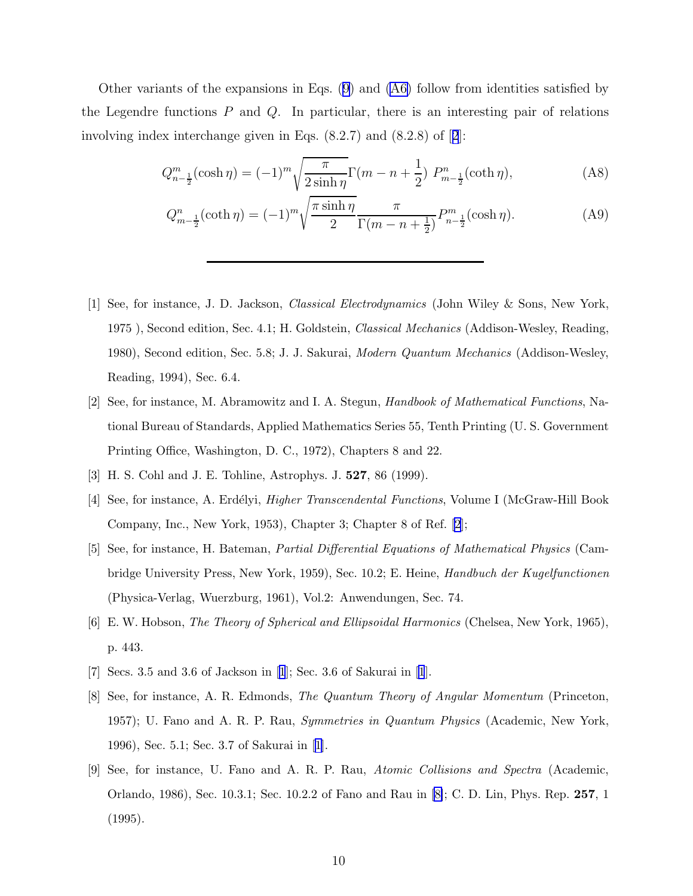<span id="page-11-0"></span>Other variants of the expansions in Eqs.([9\)](#page-5-0) and([A6\)](#page-10-0) follow from identities satisfied by the Legendre functions  $P$  and  $Q$ . In particular, there is an interesting pair of relations involving index interchange given in Eqs. (8.2.7) and (8.2.8) of [2]:

$$
Q_{n-\frac{1}{2}}^m(\cosh \eta) = (-1)^m \sqrt{\frac{\pi}{2\sinh \eta}} \Gamma(m - n + \frac{1}{2}) P_{m-\frac{1}{2}}^n(\coth \eta), \tag{A8}
$$

$$
Q_{m-\frac{1}{2}}^n(\coth \eta) = (-1)^m \sqrt{\frac{\pi \sinh \eta}{2}} \frac{\pi}{\Gamma(m-n+\frac{1}{2})} P_{n-\frac{1}{2}}^m(\cosh \eta).
$$
 (A9)

- [1] See, for instance, J. D. Jackson, Classical Electrodynamics (John Wiley & Sons, New York, 1975 ), Second edition, Sec. 4.1; H. Goldstein, Classical Mechanics (Addison-Wesley, Reading, 1980), Second edition, Sec. 5.8; J. J. Sakurai, Modern Quantum Mechanics (Addison-Wesley, Reading, 1994), Sec. 6.4.
- [2] See, for instance, M. Abramowitz and I. A. Stegun, Handbook of Mathematical Functions, National Bureau of Standards, Applied Mathematics Series 55, Tenth Printing (U. S. Government Printing Office, Washington, D. C., 1972), Chapters 8 and 22.
- [3] H. S. Cohl and J. E. Tohline, Astrophys. J. 527, 86 (1999).
- [4] See, for instance, A. Erdélyi, *Higher Transcendental Functions*, Volume I (McGraw-Hill Book Company, Inc., New York, 1953), Chapter 3; Chapter 8 of Ref. [2];
- [5] See, for instance, H. Bateman, Partial Differential Equations of Mathematical Physics (Cambridge University Press, New York, 1959), Sec. 10.2; E. Heine, Handbuch der Kugelfunctionen (Physica-Verlag, Wuerzburg, 1961), Vol.2: Anwendungen, Sec. 74.
- [6] E. W. Hobson, The Theory of Spherical and Ellipsoidal Harmonics (Chelsea, New York, 1965), p. 443.
- [7] Secs. 3.5 and 3.6 of Jackson in [1]; Sec. 3.6 of Sakurai in [1].
- [8] See, for instance, A. R. Edmonds, The Quantum Theory of Angular Momentum (Princeton, 1957); U. Fano and A. R. P. Rau, Symmetries in Quantum Physics (Academic, New York, 1996), Sec. 5.1; Sec. 3.7 of Sakurai in [1].
- [9] See, for instance, U. Fano and A. R. P. Rau, Atomic Collisions and Spectra (Academic, Orlando, 1986), Sec. 10.3.1; Sec. 10.2.2 of Fano and Rau in [8]; C. D. Lin, Phys. Rep. 257, 1 (1995).